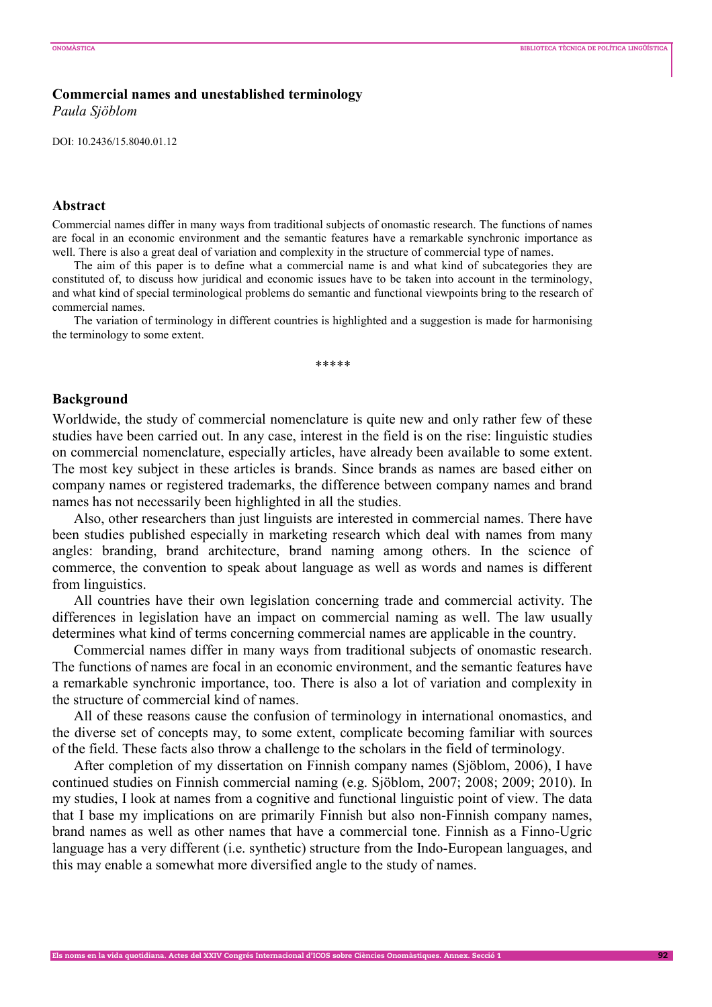## **Commercial names and unestablished terminology**

*Paula Sjöblom* 

DOI: 10.2436/15.8040.01.12

#### **Abstract**

Commercial names differ in many ways from traditional subjects of onomastic research. The functions of names are focal in an economic environment and the semantic features have a remarkable synchronic importance as well. There is also a great deal of variation and complexity in the structure of commercial type of names.

The aim of this paper is to define what a commercial name is and what kind of subcategories they are constituted of, to discuss how juridical and economic issues have to be taken into account in the terminology, and what kind of special terminological problems do semantic and functional viewpoints bring to the research of commercial names.

The variation of terminology in different countries is highlighted and a suggestion is made for harmonising the terminology to some extent.

\*\*\*\*\*

## **Background**

Worldwide, the study of commercial nomenclature is quite new and only rather few of these studies have been carried out. In any case, interest in the field is on the rise: linguistic studies on commercial nomenclature, especially articles, have already been available to some extent. The most key subject in these articles is brands. Since brands as names are based either on company names or registered trademarks, the difference between company names and brand names has not necessarily been highlighted in all the studies.

Also, other researchers than just linguists are interested in commercial names. There have been studies published especially in marketing research which deal with names from many angles: branding, brand architecture, brand naming among others. In the science of commerce, the convention to speak about language as well as words and names is different from linguistics.

All countries have their own legislation concerning trade and commercial activity. The differences in legislation have an impact on commercial naming as well. The law usually determines what kind of terms concerning commercial names are applicable in the country.

Commercial names differ in many ways from traditional subjects of onomastic research. The functions of names are focal in an economic environment, and the semantic features have a remarkable synchronic importance, too. There is also a lot of variation and complexity in the structure of commercial kind of names.

All of these reasons cause the confusion of terminology in international onomastics, and the diverse set of concepts may, to some extent, complicate becoming familiar with sources of the field. These facts also throw a challenge to the scholars in the field of terminology.

After completion of my dissertation on Finnish company names (Sjöblom, 2006), I have continued studies on Finnish commercial naming (e.g. Sjöblom, 2007; 2008; 2009; 2010). In my studies, I look at names from a cognitive and functional linguistic point of view. The data that I base my implications on are primarily Finnish but also non-Finnish company names, brand names as well as other names that have a commercial tone. Finnish as a Finno-Ugric language has a very different (i.e. synthetic) structure from the Indo-European languages, and this may enable a somewhat more diversified angle to the study of names.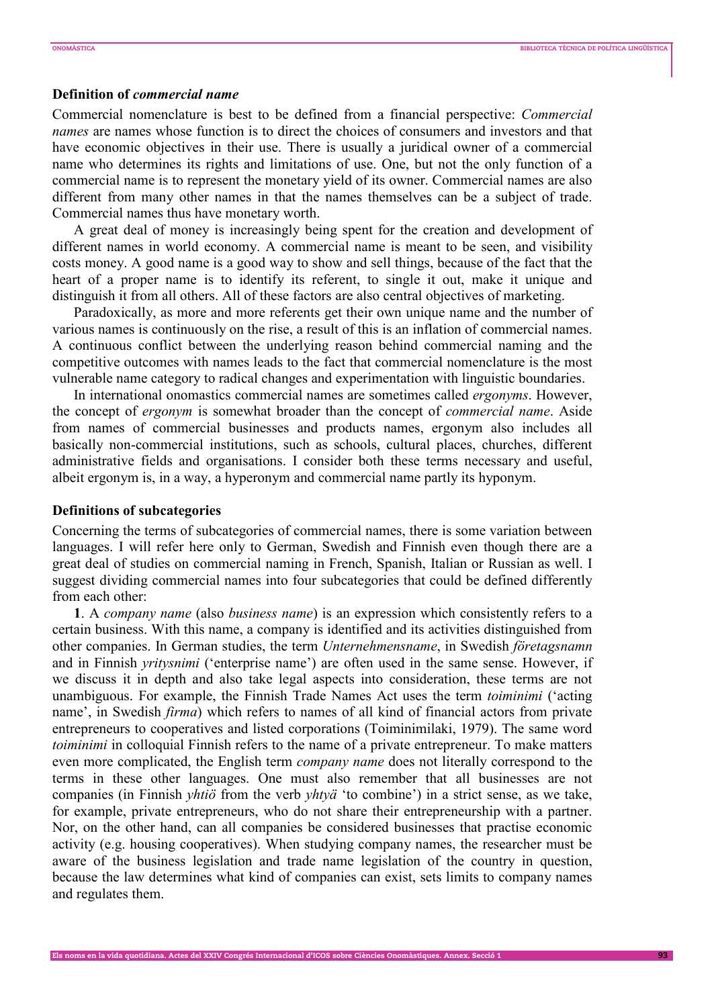# **Definition of** *commercial name*

Commercial nomenclature is best to be defined from a financial perspective: *Commercial names* are names whose function is to direct the choices of consumers and investors and that have economic objectives in their use. There is usually a juridical owner of a commercial name who determines its rights and limitations of use. One, but not the only function of a commercial name is to represent the monetary yield of its owner. Commercial names are also different from many other names in that the names themselves can be a subject of trade. Commercial names thus have monetary worth.

A great deal of money is increasingly being spent for the creation and development of different names in world economy. A commercial name is meant to be seen, and visibility costs money. A good name is a good way to show and sell things, because of the fact that the heart of a proper name is to identify its referent, to single it out, make it unique and distinguish it from all others. All of these factors are also central objectives of marketing.

Paradoxically, as more and more referents get their own unique name and the number of various names is continuously on the rise, a result of this is an inflation of commercial names. A continuous conflict between the underlying reason behind commercial naming and the competitive outcomes with names leads to the fact that commercial nomenclature is the most vulnerable name category to radical changes and experimentation with linguistic boundaries.

In international onomastics commercial names are sometimes called *ergonyms*. However, the concept of *ergonym* is somewhat broader than the concept of *commercial name*. Aside from names of commercial businesses and products names, ergonym also includes all basically non-commercial institutions, such as schools, cultural places, churches, different administrative fields and organisations. I consider both these terms necessary and useful, albeit ergonym is, in a way, a hyperonym and commercial name partly its hyponym.

## **Definitions of subcategories**

Concerning the terms of subcategories of commercial names, there is some variation between languages. I will refer here only to German, Swedish and Finnish even though there are a great deal of studies on commercial naming in French, Spanish, Italian or Russian as well. I suggest dividing commercial names into four subcategories that could be defined differently from each other:

**1**. A *company name* (also *business name*) is an expression which consistently refers to a certain business. With this name, a company is identified and its activities distinguished from other companies. In German studies, the term *Unternehmensname*, in Swedish *företagsnamn* and in Finnish *yritysnimi* ('enterprise name') are often used in the same sense. However, if we discuss it in depth and also take legal aspects into consideration, these terms are not unambiguous. For example, the Finnish Trade Names Act uses the term *toiminimi* ('acting name', in Swedish *firma*) which refers to names of all kind of financial actors from private entrepreneurs to cooperatives and listed corporations (Toiminimilaki, 1979). The same word *toiminimi* in colloquial Finnish refers to the name of a private entrepreneur. To make matters even more complicated, the English term *company name* does not literally correspond to the terms in these other languages. One must also remember that all businesses are not companies (in Finnish *yhtiö* from the verb *yhtyä* 'to combine') in a strict sense, as we take, for example, private entrepreneurs, who do not share their entrepreneurship with a partner. Nor, on the other hand, can all companies be considered businesses that practise economic activity (e.g. housing cooperatives). When studying company names, the researcher must be aware of the business legislation and trade name legislation of the country in question, because the law determines what kind of companies can exist, sets limits to company names and regulates them.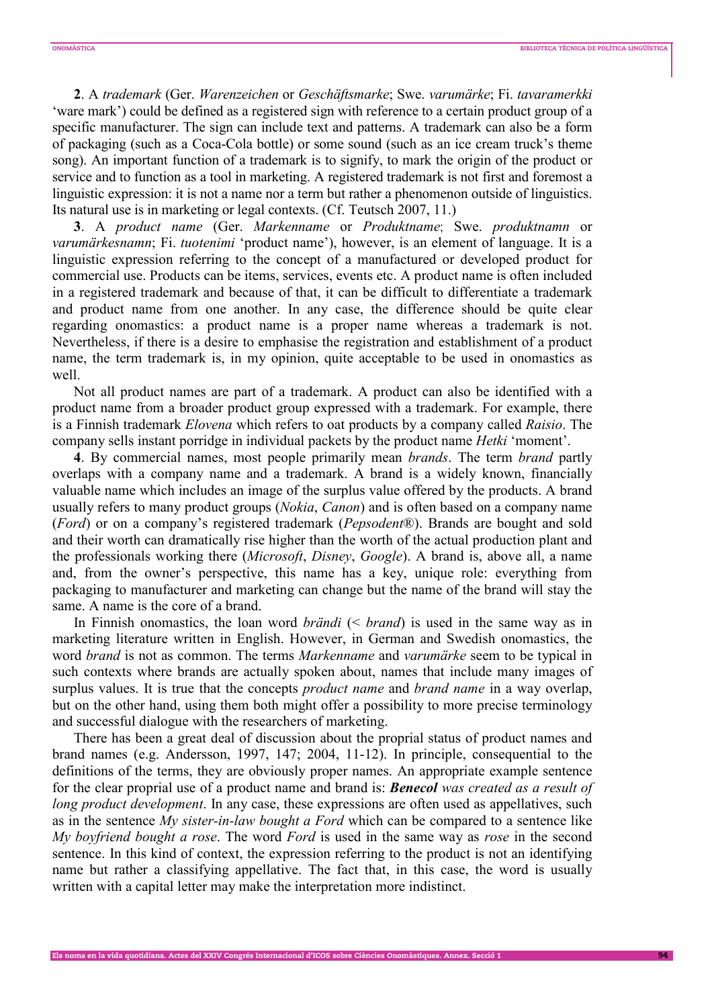**2**. A *trademark* (Ger. *Warenzeichen* or *Geschäftsmarke*; Swe. *varumärke*; Fi. *tavaramerkki* 'ware mark') could be defined as a registered sign with reference to a certain product group of a specific manufacturer. The sign can include text and patterns. A trademark can also be a form of packaging (such as a Coca-Cola bottle) or some sound (such as an ice cream truck's theme song). An important function of a trademark is to signify, to mark the origin of the product or service and to function as a tool in marketing. A registered trademark is not first and foremost a linguistic expression: it is not a name nor a term but rather a phenomenon outside of linguistics. Its natural use is in marketing or legal contexts. (Cf. Teutsch 2007, 11.)

**3**. A *product name* (Ger. *Markenname* or *Produktname*; Swe. *produktnamn* or *varumärkesnamn*; Fi. *tuotenimi* 'product name'), however, is an element of language. It is a linguistic expression referring to the concept of a manufactured or developed product for commercial use. Products can be items, services, events etc. A product name is often included in a registered trademark and because of that, it can be difficult to differentiate a trademark and product name from one another. In any case, the difference should be quite clear regarding onomastics: a product name is a proper name whereas a trademark is not. Nevertheless, if there is a desire to emphasise the registration and establishment of a product name, the term trademark is, in my opinion, quite acceptable to be used in onomastics as well.

Not all product names are part of a trademark. A product can also be identified with a product name from a broader product group expressed with a trademark. For example, there is a Finnish trademark *Elovena* which refers to oat products by a company called *Raisio*. The company sells instant porridge in individual packets by the product name *Hetki* 'moment'.

**4**. By commercial names, most people primarily mean *brands*. The term *brand* partly overlaps with a company name and a trademark. A brand is a widely known, financially valuable name which includes an image of the surplus value offered by the products. A brand usually refers to many product groups (*Nokia*, *Canon*) and is often based on a company name (*Ford*) or on a company's registered trademark (*Pepsodent*®). Brands are bought and sold and their worth can dramatically rise higher than the worth of the actual production plant and the professionals working there (*Microsoft*, *Disney*, *Google*). A brand is, above all, a name and, from the owner's perspective, this name has a key, unique role: everything from packaging to manufacturer and marketing can change but the name of the brand will stay the same. A name is the core of a brand.

In Finnish onomastics, the loan word *brändi* (< *brand*) is used in the same way as in marketing literature written in English. However, in German and Swedish onomastics, the word *brand* is not as common. The terms *Markenname* and *varumärke* seem to be typical in such contexts where brands are actually spoken about, names that include many images of surplus values. It is true that the concepts *product name* and *brand name* in a way overlap, but on the other hand, using them both might offer a possibility to more precise terminology and successful dialogue with the researchers of marketing.

There has been a great deal of discussion about the proprial status of product names and brand names (e.g. Andersson, 1997, 147; 2004, 11-12). In principle, consequential to the definitions of the terms, they are obviously proper names. An appropriate example sentence for the clear proprial use of a product name and brand is: *Benecol was created as a result of long product development*. In any case, these expressions are often used as appellatives, such as in the sentence *My sister-in-law bought a Ford* which can be compared to a sentence like *My boyfriend bought a rose*. The word *Ford* is used in the same way as *rose* in the second sentence. In this kind of context, the expression referring to the product is not an identifying name but rather a classifying appellative. The fact that, in this case, the word is usually written with a capital letter may make the interpretation more indistinct.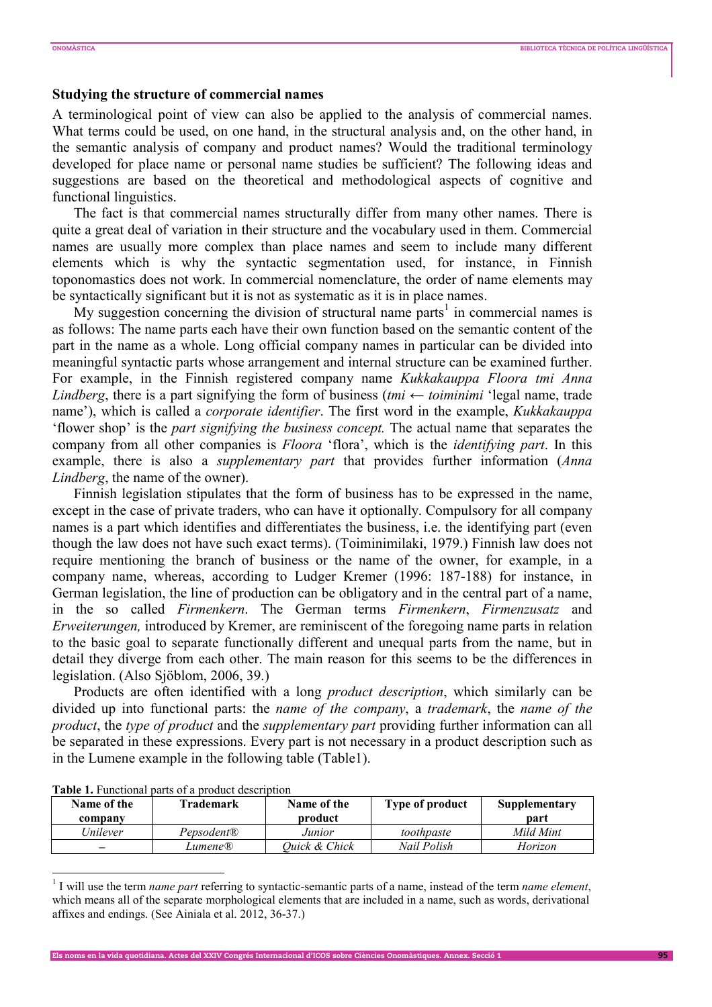## **Studying the structure of commercial names**

A terminological point of view can also be applied to the analysis of commercial names. What terms could be used, on one hand, in the structural analysis and, on the other hand, in the semantic analysis of company and product names? Would the traditional terminology developed for place name or personal name studies be sufficient? The following ideas and suggestions are based on the theoretical and methodological aspects of cognitive and functional linguistics.

The fact is that commercial names structurally differ from many other names. There is quite a great deal of variation in their structure and the vocabulary used in them. Commercial names are usually more complex than place names and seem to include many different elements which is why the syntactic segmentation used, for instance, in Finnish toponomastics does not work. In commercial nomenclature, the order of name elements may be syntactically significant but it is not as systematic as it is in place names.

My suggestion concerning the division of structural name parts<sup>1</sup> in commercial names is as follows: The name parts each have their own function based on the semantic content of the part in the name as a whole. Long official company names in particular can be divided into meaningful syntactic parts whose arrangement and internal structure can be examined further. For example, in the Finnish registered company name *Kukkakauppa Floora tmi Anna Lindberg*, there is a part signifying the form of business (*tmi*  $\leftarrow$  *toiminimi* 'legal name, trade name'), which is called a *corporate identifier*. The first word in the example, *Kukkakauppa* 'flower shop' is the *part signifying the business concept.* The actual name that separates the company from all other companies is *Floora* 'flora', which is the *identifying part*. In this example, there is also a *supplementary part* that provides further information (*Anna Lindberg*, the name of the owner).

Finnish legislation stipulates that the form of business has to be expressed in the name, except in the case of private traders, who can have it optionally. Compulsory for all company names is a part which identifies and differentiates the business, i.e. the identifying part (even though the law does not have such exact terms). (Toiminimilaki, 1979.) Finnish law does not require mentioning the branch of business or the name of the owner, for example, in a company name, whereas, according to Ludger Kremer (1996: 187-188) for instance, in German legislation, the line of production can be obligatory and in the central part of a name, in the so called *Firmenkern*. The German terms *Firmenkern*, *Firmenzusatz* and *Erweiterungen,* introduced by Kremer, are reminiscent of the foregoing name parts in relation to the basic goal to separate functionally different and unequal parts from the name, but in detail they diverge from each other. The main reason for this seems to be the differences in legislation. (Also Sjöblom, 2006, 39.)

Products are often identified with a long *product description*, which similarly can be divided up into functional parts: the *name of the company*, a *trademark*, the *name of the product*, the *type of product* and the *supplementary part* providing further information can all be separated in these expressions. Every part is not necessary in a product description such as in the Lumene example in the following table (Table1).

| Name of the<br>company | Trademark              | Name of the<br>product | Type of product | Supplementary<br>part |
|------------------------|------------------------|------------------------|-----------------|-----------------------|
| Unilever               | Pepsodent <sup>®</sup> | Junior                 | toothpaste      | Mild Mint             |
| _                      | Lumene®                | Ouick & Chick          | Nail Polish     | Horizon               |

**Table 1.** Functional parts of a product description

 $\overline{a}$ 

Els noms en la vida quotidiana. Actes del XXIV Congrés Internacional d'ICOS sobre Ciències Onomàstiques. Annex. Secció 1 95

<sup>&</sup>lt;sup>1</sup> I will use the term *name part* referring to syntactic-semantic parts of a name, instead of the term *name element*, which means all of the separate morphological elements that are included in a name, such as words, derivational affixes and endings. (See Ainiala et al. 2012, 36-37.)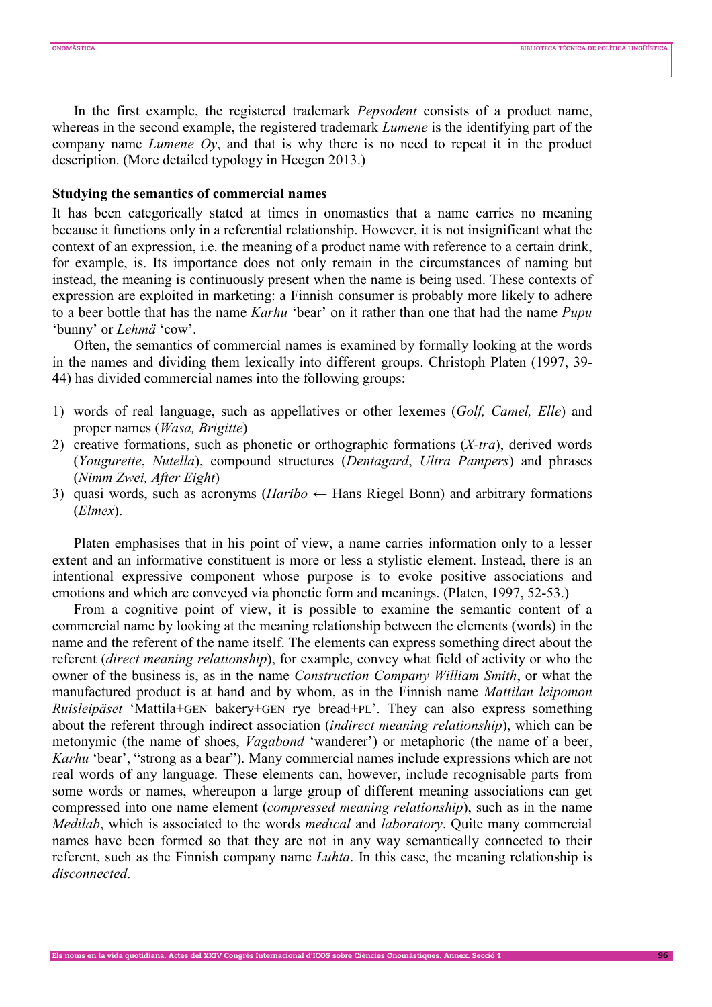In the first example, the registered trademark *Pepsodent* consists of a product name, whereas in the second example, the registered trademark *Lumene* is the identifying part of the company name *Lumene Oy*, and that is why there is no need to repeat it in the product description. (More detailed typology in Heegen 2013.)

## **Studying the semantics of commercial names**

It has been categorically stated at times in onomastics that a name carries no meaning because it functions only in a referential relationship. However, it is not insignificant what the context of an expression, i.e. the meaning of a product name with reference to a certain drink, for example, is. Its importance does not only remain in the circumstances of naming but instead, the meaning is continuously present when the name is being used. These contexts of expression are exploited in marketing: a Finnish consumer is probably more likely to adhere to a beer bottle that has the name *Karhu* 'bear' on it rather than one that had the name *Pupu* 'bunny' or *Lehmä* 'cow'.

Often, the semantics of commercial names is examined by formally looking at the words in the names and dividing them lexically into different groups. Christoph Platen (1997, 39- 44) has divided commercial names into the following groups:

- 1) words of real language, such as appellatives or other lexemes (*Golf, Camel, Elle*) and proper names (*Wasa, Brigitte*)
- 2) creative formations, such as phonetic or orthographic formations (*X-tra*), derived words (*Yougurette*, *Nutella*), compound structures (*Dentagard*, *Ultra Pampers*) and phrases (*Nimm Zwei, After Eight*)
- 3) quasi words, such as acronyms (*Haribo*  $\leftarrow$  Hans Riegel Bonn) and arbitrary formations (*Elmex*).

Platen emphasises that in his point of view, a name carries information only to a lesser extent and an informative constituent is more or less a stylistic element. Instead, there is an intentional expressive component whose purpose is to evoke positive associations and emotions and which are conveyed via phonetic form and meanings. (Platen, 1997, 52-53.)

From a cognitive point of view, it is possible to examine the semantic content of a commercial name by looking at the meaning relationship between the elements (words) in the name and the referent of the name itself. The elements can express something direct about the referent (*direct meaning relationship*), for example, convey what field of activity or who the owner of the business is, as in the name *Construction Company William Smith*, or what the manufactured product is at hand and by whom, as in the Finnish name *Mattilan leipomon Ruisleipäset* 'Mattila+GEN bakery+GEN rye bread+PL'. They can also express something about the referent through indirect association (*indirect meaning relationship*), which can be metonymic (the name of shoes, *Vagabond* 'wanderer') or metaphoric (the name of a beer, *Karhu* 'bear', "strong as a bear"). Many commercial names include expressions which are not real words of any language. These elements can, however, include recognisable parts from some words or names, whereupon a large group of different meaning associations can get compressed into one name element (*compressed meaning relationship*), such as in the name *Medilab*, which is associated to the words *medical* and *laboratory*. Quite many commercial names have been formed so that they are not in any way semantically connected to their referent, such as the Finnish company name *Luhta*. In this case, the meaning relationship is *disconnected*.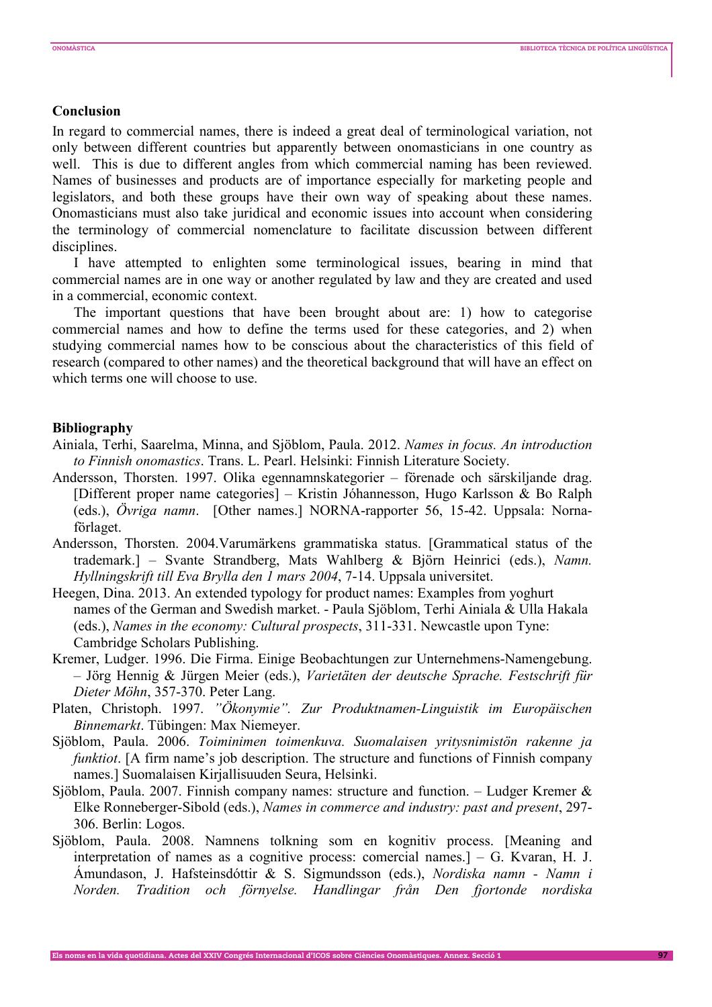## **Conclusion**

In regard to commercial names, there is indeed a great deal of terminological variation, not only between different countries but apparently between onomasticians in one country as well. This is due to different angles from which commercial naming has been reviewed. Names of businesses and products are of importance especially for marketing people and legislators, and both these groups have their own way of speaking about these names. Onomasticians must also take juridical and economic issues into account when considering the terminology of commercial nomenclature to facilitate discussion between different disciplines.

I have attempted to enlighten some terminological issues, bearing in mind that commercial names are in one way or another regulated by law and they are created and used in a commercial, economic context.

The important questions that have been brought about are: 1) how to categorise commercial names and how to define the terms used for these categories, and 2) when studying commercial names how to be conscious about the characteristics of this field of research (compared to other names) and the theoretical background that will have an effect on which terms one will choose to use.

### **Bibliography**

- Ainiala, Terhi, Saarelma, Minna, and Sjöblom, Paula. 2012. *Names in focus. An introduction to Finnish onomastics*. Trans. L. Pearl. Helsinki: Finnish Literature Society.
- Andersson, Thorsten. 1997. Olika egennamnskategorier förenade och särskiljande drag. [Different proper name categories] – Kristin Jóhannesson, Hugo Karlsson & Bo Ralph (eds.), *Övriga namn*. [Other names.] NORNA-rapporter 56, 15-42. Uppsala: Nornaförlaget.
- Andersson, Thorsten. 2004.Varumärkens grammatiska status. [Grammatical status of the trademark.] – Svante Strandberg, Mats Wahlberg & Björn Heinrici (eds.), *Namn. Hyllningskrift till Eva Brylla den 1 mars 2004*, 7-14. Uppsala universitet.
- Heegen, Dina. 2013. An extended typology for product names: Examples from yoghurt names of the German and Swedish market. - Paula Sjöblom, Terhi Ainiala & Ulla Hakala (eds.), *Names in the economy: Cultural prospects*, 311-331. Newcastle upon Tyne: Cambridge Scholars Publishing.
- Kremer, Ludger. 1996. Die Firma. Einige Beobachtungen zur Unternehmens-Namengebung. – Jörg Hennig & Jürgen Meier (eds.), *Varietäten der deutsche Sprache. Festschrift für Dieter Möhn*, 357-370. Peter Lang.
- Platen, Christoph. 1997. *"Ökonymie". Zur Produktnamen-Linguistik im Europäischen Binnemarkt*. Tübingen: Max Niemeyer.
- Sjöblom, Paula. 2006. *Toiminimen toimenkuva. Suomalaisen yritysnimistön rakenne ja funktiot*. [A firm name's job description. The structure and functions of Finnish company names.] Suomalaisen Kirjallisuuden Seura, Helsinki.
- Sjöblom, Paula. 2007. Finnish company names: structure and function. Ludger Kremer & Elke Ronneberger-Sibold (eds.), *Names in commerce and industry: past and present*, 297- 306. Berlin: Logos.
- Sjöblom, Paula. 2008. Namnens tolkning som en kognitiv process. [Meaning and interpretation of names as a cognitive process: comercial names.] – G. Kvaran, H. J. Ámundason, J. Hafsteinsdóttir & S. Sigmundsson (eds.), *Nordiska namn - Namn i Norden. Tradition och förnyelse. Handlingar från Den fjortonde nordiska*

Els noms en la vida quotidiana. Actes del XXIV Congrés Internacional d'ICOS sobre Ciències Onomàstiques. Annex. Secció 1 97